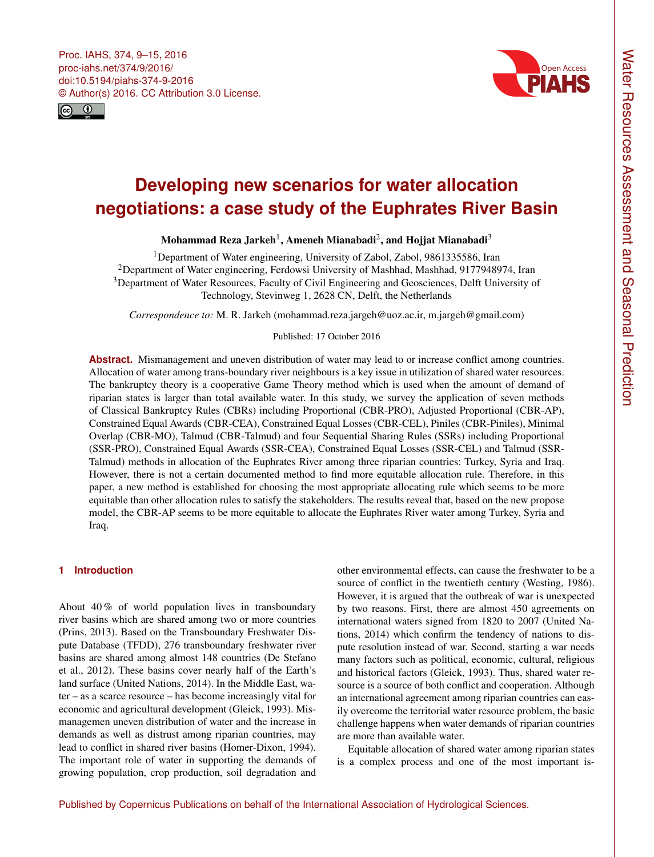<span id="page-0-1"></span>



# **Developing new scenarios for water allocation negotiations: a case study of the Euphrates River Basin**

# Mohammad Reza Jarkeh $^{\rm l}$ , Ameneh Mianabadi $^{\rm 2}$  $^{\rm 2}$  $^{\rm 2}$ , and Hojjat Mianabadi $^{\rm 3}$  $^{\rm 3}$  $^{\rm 3}$

<sup>1</sup>Department of Water engineering, University of Zabol, Zabol, 9861335586, Iran <sup>2</sup>Department of Water engineering, Ferdowsi University of Mashhad, Mashhad, 9177948974, Iran <sup>3</sup>Department of Water Resources, Faculty of Civil Engineering and Geosciences, Delft University of Technology, Stevinweg 1, 2628 CN, Delft, the Netherlands

*Correspondence to:* M. R. Jarkeh (mohammad.reza.jargeh@uoz.ac.ir, m.jargeh@gmail.com)

## Published: 17 October 2016

**Abstract.** Mismanagement and uneven distribution of water may lead to or increase conflict among countries. Allocation of water among trans-boundary river neighbours is a key issue in utilization of shared water resources. The bankruptcy theory is a cooperative Game Theory method which is used when the amount of demand of riparian states is larger than total available water. In this study, we survey the application of seven methods of Classical Bankruptcy Rules (CBRs) including Proportional (CBR-PRO), Adjusted Proportional (CBR-AP), Constrained Equal Awards (CBR-CEA), Constrained Equal Losses (CBR-CEL), Piniles (CBR-Piniles), Minimal Overlap (CBR-MO), Talmud (CBR-Talmud) and four Sequential Sharing Rules (SSRs) including Proportional (SSR-PRO), Constrained Equal Awards (SSR-CEA), Constrained Equal Losses (SSR-CEL) and Talmud (SSR-Talmud) methods in allocation of the Euphrates River among three riparian countries: Turkey, Syria and Iraq. However, there is not a certain documented method to find more equitable allocation rule. Therefore, in this paper, a new method is established for choosing the most appropriate allocating rule which seems to be more equitable than other allocation rules to satisfy the stakeholders. The results reveal that, based on the new propose model, the CBR-AP seems to be more equitable to allocate the Euphrates River water among Turkey, Syria and Iraq.

## <span id="page-0-0"></span>**1 Introduction**

About 40 % of world population lives in transboundary river basins which are shared among two or more countries (Prins, 2013). Based on the Transboundary Freshwater Dispute Database (TFDD), 276 transboundary freshwater river basins are shared among almost 148 countries (De Stefano et al., 2012). These basins cover nearly half of the Earth's land surface (United Nations, 2014). In the Middle East, water – as a scarce resource – has become increasingly vital for economic and agricultural development (Gleick, 1993). Mismanagemen uneven distribution of water and the increase in demands as well as distrust among riparian countries, may lead to conflict in shared river basins (Homer-Dixon, 1994). The important role of water in supporting the demands of growing population, crop production, soil degradation and other environmental effects, can cause the freshwater to be a source of conflict in the twentieth century (Westing, 1986). However, it is argued that the outbreak of war is unexpected by two reasons. First, there are almost 450 agreements on international waters signed from 1820 to 2007 (United Nations, 2014) which confirm the tendency of nations to dispute resolution instead of war. Second, starting a war needs many factors such as political, economic, cultural, religious and historical factors (Gleick, 1993). Thus, shared water resource is a source of both conflict and cooperation. Although an international agreement among riparian countries can easily overcome the territorial water resource problem, the basic challenge happens when water demands of riparian countries are more than available water.

Equitable allocation of shared water among riparian states is a complex process and one of the most important is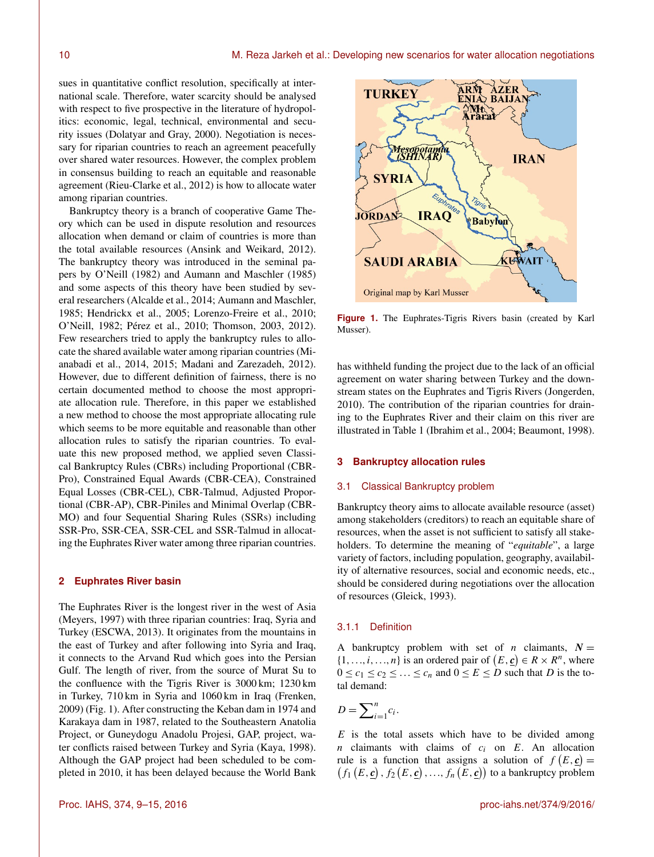sues in quantitative conflict resolution, specifically at international scale. Therefore, water scarcity should be analysed with respect to five prospective in the literature of hydropolitics: economic, legal, technical, environmental and security issues (Dolatyar and Gray, 2000). Negotiation is necessary for riparian countries to reach an agreement peacefully over shared water resources. However, the complex problem in consensus building to reach an equitable and reasonable agreement (Rieu-Clarke et al., 2012) is how to allocate water among riparian countries.

Bankruptcy theory is a branch of cooperative Game Theory which can be used in dispute resolution and resources allocation when demand or claim of countries is more than the total available resources (Ansink and Weikard, 2012). The bankruptcy theory was introduced in the seminal papers by O'Neill (1982) and Aumann and Maschler (1985) and some aspects of this theory have been studied by several researchers (Alcalde et al., 2014; Aumann and Maschler, 1985; Hendrickx et al., 2005; Lorenzo-Freire et al., 2010; O'Neill, 1982; Pérez et al., 2010; Thomson, 2003, 2012). Few researchers tried to apply the bankruptcy rules to allocate the shared available water among riparian countries (Mianabadi et al., 2014, 2015; Madani and Zarezadeh, 2012). However, due to different definition of fairness, there is no certain documented method to choose the most appropriate allocation rule. Therefore, in this paper we established a new method to choose the most appropriate allocating rule which seems to be more equitable and reasonable than other allocation rules to satisfy the riparian countries. To evaluate this new proposed method, we applied seven Classical Bankruptcy Rules (CBRs) including Proportional (CBR-Pro), Constrained Equal Awards (CBR-CEA), Constrained Equal Losses (CBR-CEL), CBR-Talmud, Adjusted Proportional (CBR-AP), CBR-Piniles and Minimal Overlap (CBR-MO) and four Sequential Sharing Rules (SSRs) including SSR-Pro, SSR-CEA, SSR-CEL and SSR-Talmud in allocating the Euphrates River water among three riparian countries.

#### **2 Euphrates River basin**

The Euphrates River is the longest river in the west of Asia (Meyers, 1997) with three riparian countries: Iraq, Syria and Turkey (ESCWA, 2013). It originates from the mountains in the east of Turkey and after following into Syria and Iraq, it connects to the Arvand Rud which goes into the Persian Gulf. The length of river, from the source of Murat Su to the confluence with the Tigris River is 3000 km; 1230 km in Turkey, 710 km in Syria and 1060 km in Iraq (Frenken, 2009) (Fig. 1). After constructing the Keban dam in 1974 and Karakaya dam in 1987, related to the Southeastern Anatolia Project, or Guneydogu Anadolu Projesi, GAP, project, water conflicts raised between Turkey and Syria (Kaya, 1998). Although the GAP project had been scheduled to be completed in 2010, it has been delayed because the World Bank



**Figure 1.** The Euphrates-Tigris Rivers basin (created by Karl Musser).

has withheld funding the project due to the lack of an official agreement on water sharing between Turkey and the downstream states on the Euphrates and Tigris Rivers (Jongerden, 2010). The contribution of the riparian countries for draining to the Euphrates River and their claim on this river are illustrated in Table 1 (Ibrahim et al., 2004; Beaumont, 1998).

# **3 Bankruptcy allocation rules**

#### 3.1 Classical Bankruptcy problem

Bankruptcy theory aims to allocate available resource (asset) among stakeholders (creditors) to reach an equitable share of resources, when the asset is not sufficient to satisfy all stakeholders. To determine the meaning of "*equitable*", a large variety of factors, including population, geography, availability of alternative resources, social and economic needs, etc., should be considered during negotiations over the allocation of resources (Gleick, 1993).

#### 3.1.1 Definition

A bankruptcy problem with set of *n* claimants,  $N =$  $\{1, \ldots, i, \ldots, n\}$  is an ordered pair of  $(E, \underline{c}) \in R \times R^n$ , where  $0 \le c_1 \le c_2 \le \ldots \le c_n$  and  $0 \le E \le D$  such that D is the total demand:

$$
D=\sum\nolimits_{i=1}^n c_i.
$$

 $E$  is the total assets which have to be divided among  $n$  claimants with claims of  $c_i$  on  $E$ . An allocation rule is a function that assigns a solution of  $f(E, \mathbf{c}) =$  $(f_1(E, \underline{c}), f_2(E, \underline{c}), ..., f_n(E, \underline{c}))$  to a bankruptcy problem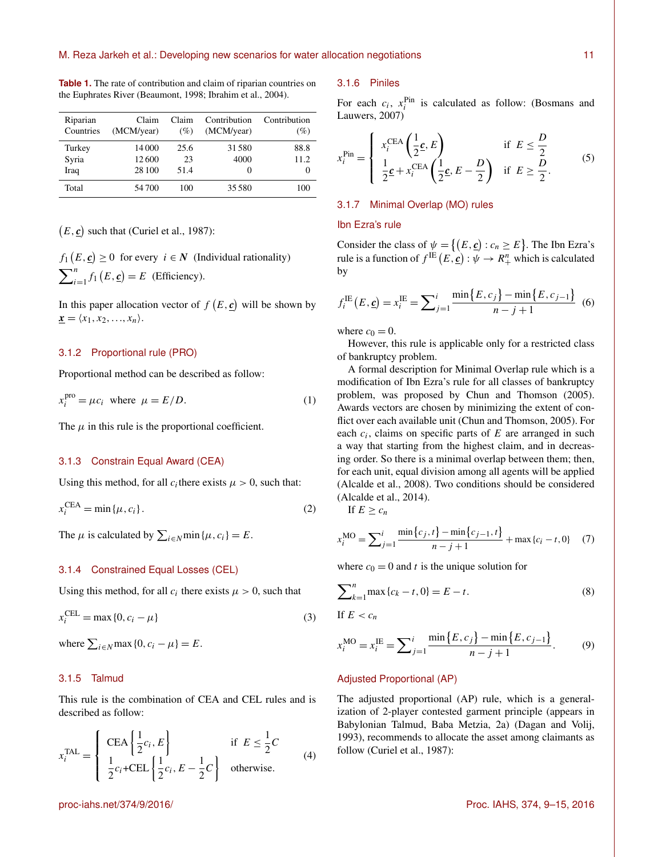| Riparian<br>Countries | Claim<br>(MCM/year) | Claim<br>(%) | Contribution<br>(MCM/year) | Contribution<br>(%) |
|-----------------------|---------------------|--------------|----------------------------|---------------------|
| Turkey                | 14 000              | 25.6         | 31580                      | 88.8                |
| Syria                 | 12600               | 23           | 4000                       | 11.2                |
| Iraq                  | 28 100              | 51.4         | $\theta$                   | 0                   |
| Total                 | 54 700              | 100          | 35 5 80                    | 100                 |

**Table 1.** The rate of contribution and claim of riparian countries on the Euphrates River (Beaumont, 1998; Ibrahim et al., 2004).

 $(E, \underline{c})$  such that (Curiel et al., 1987):

 $f_1(E, \underline{c}) \ge 0$  for every  $i \in \mathbb{N}$  (Individual rationality)  $\sum_{i=1}^{n} f_1(E, \underline{c}) = E$  (Efficiency).

In this paper allocation vector of  $f(E, \underline{c})$  will be shown by  $\underline{\mathbf{x}} = \langle x_1, x_2, \ldots, x_n \rangle.$ 

## 3.1.2 Proportional rule (PRO)

Proportional method can be described as follow:

$$
x_i^{\text{pro}} = \mu c_i \text{ where } \mu = E/D. \tag{1}
$$

The  $\mu$  in this rule is the proportional coefficient.

## 3.1.3 Constrain Equal Award (CEA)

Using this method, for all  $c_i$  there exists  $\mu > 0$ , such that:

$$
x_i^{\text{CEA}} = \min\{\mu, c_i\}.
$$
 (2)

The  $\mu$  is calculated by  $\sum_{i \in N} \min{\{\mu, c_i\}} = E$ .

# 3.1.4 Constrained Equal Losses (CEL)

Using this method, for all  $c_i$  there exists  $\mu > 0$ , such that

$$
x_i^{\text{CEL}} = \max\{0, c_i - \mu\}
$$
\n(3)

where  $\sum_{i \in N} \max\{0, c_i - \mu\} = E$ .

# 3.1.5 Talmud

This rule is the combination of CEA and CEL rules and is described as follow:

$$
x_i^{\text{TAL}} = \begin{cases} \text{CEA} \left\{ \frac{1}{2} c_i, E \right\} & \text{if } E \leq \frac{1}{2} C \\ \frac{1}{2} c_i + \text{CEL} \left\{ \frac{1}{2} c_i, E - \frac{1}{2} C \right\} & \text{otherwise.} \end{cases}
$$
(4)

#### 3.1.6 Piniles

For each  $c_i$ ,  $x_i^{\text{Pin}}$  is calculated as follow: (Bosmans and Lauwers, 2007)

$$
x_i^{\text{Pin}} = \begin{cases} x_i^{\text{CEA}} \left( \frac{1}{2} \mathbf{c}, E \right) & \text{if } E \le \frac{D}{2} \\ \frac{1}{2} \mathbf{c} + x_i^{\text{CEA}} \left( \frac{1}{2} \mathbf{c}, E - \frac{D}{2} \right) & \text{if } E \ge \frac{D}{2}. \end{cases}
$$
 (5)

#### 3.1.7 Minimal Overlap (MO) rules

#### Ibn Ezra's rule

Consider the class of  $\psi = \{(E, \underline{c}) : c_n \ge E\}$ . The Ibn Ezra's rule is a function of  $f^{\text{IE}}\left(E,\underline{\mathbf{c}}\right): \psi \to R_+^n$  which is calculated by

$$
f_i^{IE}(E, \underline{c}) = x_i^{IE} = \sum_{j=1}^i \frac{\min\{E, c_j\} - \min\{E, c_{j-1}\}}{n - j + 1} \tag{6}
$$

where  $c_0 = 0$ .

However, this rule is applicable only for a restricted class of bankruptcy problem.

A formal description for Minimal Overlap rule which is a modification of Ibn Ezra's rule for all classes of bankruptcy problem, was proposed by Chun and Thomson (2005). Awards vectors are chosen by minimizing the extent of conflict over each available unit (Chun and Thomson, 2005). For each  $c_i$ , claims on specific parts of  $E$  are arranged in such a way that starting from the highest claim, and in decreasing order. So there is a minimal overlap between them; then, for each unit, equal division among all agents will be applied (Alcalde et al., 2008). Two conditions should be considered (Alcalde et al., 2014).

If  $E \geq c_n$ 

$$
x_i^{\text{MO}} = \sum_{j=1}^i \frac{\min\{c_j, t\} - \min\{c_{j-1}, t\}}{n - j + 1} + \max\{c_i - t, 0\} \tag{7}
$$

where  $c_0 = 0$  and t is the unique solution for

$$
\sum_{k=1}^{n} \max \{c_k - t, 0\} = E - t.
$$
 (8)

If 
$$
E < c_n
$$

$$
x_i^{\text{MO}} = x_i^{\text{IE}} = \sum_{j=1}^i \frac{\min\{E, c_j\} - \min\{E, c_{j-1}\}}{n - j + 1}.
$$
 (9)

## Adjusted Proportional (AP)

The adjusted proportional (AP) rule, which is a generalization of 2-player contested garment principle (appears in Babylonian Talmud, Baba Metzia, 2a) (Dagan and Volij, 1993), recommends to allocate the asset among claimants as follow (Curiel et al., 1987):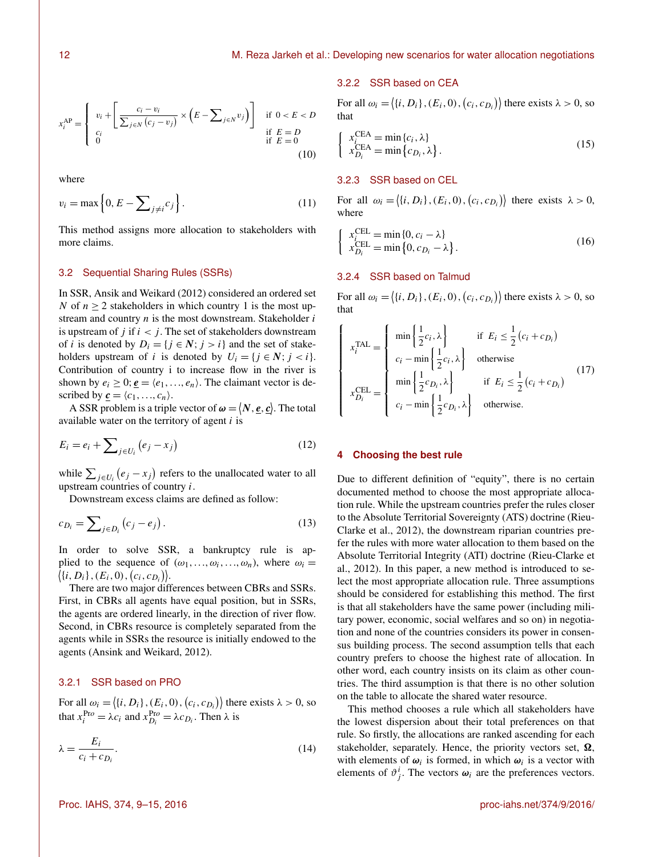$$
x_i^{\text{AP}} = \begin{cases} v_i + \left[ \frac{c_i - v_i}{\sum_{j \in N} (c_j - v_j)} \times \left( E - \sum_{j \in N} v_j \right) \right] & \text{if } 0 < E < D \\ c_i & \text{if } E = D \\ 0 & \text{if } E = 0 \end{cases} \tag{10}
$$

where

$$
v_i = \max\left\{0, E - \sum_{j \neq i} c_j\right\}.
$$
\n(11)

This method assigns more allocation to stakeholders with more claims.

## 3.2 Sequential Sharing Rules (SSRs)

In SSR, Ansik and Weikard (2012) considered an ordered set N of  $n \geq 2$  stakeholders in which country 1 is the most upstream and country  $n$  is the most downstream. Stakeholder  $i$ is upstream of  $j$  if  $i < j$ . The set of stakeholders downstream of *i* is denoted by  $D_i = \{j \in \mathbb{N}; j > i\}$  and the set of stakeholders upstream of i is denoted by  $U_i = \{j \in N; j < i\}.$ Contribution of country i to increase flow in the river is shown by  $e_i \geq 0$ ;  $e = \langle e_1, \ldots, e_n \rangle$ . The claimant vector is described by  $\underline{\mathbf{c}} = \langle c_1, \ldots, c_n \rangle$ .

A SSR problem is a triple vector of  $\boldsymbol{\omega} = \langle N, \underline{\boldsymbol{e}}, \underline{\boldsymbol{c}} \rangle$ . The total available water on the territory of agent  $i$  is

$$
E_i = e_i + \sum_{j \in U_i} (e_j - x_j) \tag{12}
$$

while  $\sum_{j \in U_i} (e_j - x_j)$  refers to the unallocated water to all upstream countries of country  $i$ .

Downstream excess claims are defined as follow:

$$
c_{D_i} = \sum_{j \in D_i} \left( c_j - e_j \right). \tag{13}
$$

In order to solve SSR, a bankruptcy rule is applied to the sequence of  $(\omega_1, \ldots, \omega_i, \ldots, \omega_n)$ , where  $\omega_i =$  $\{i, D_i\}, (E_i, 0), (c_i, c_{D_i})\}.$ 

There are two major differences between CBRs and SSRs. First, in CBRs all agents have equal position, but in SSRs, the agents are ordered linearly, in the direction of river flow. Second, in CBRs resource is completely separated from the agents while in SSRs the resource is initially endowed to the agents (Ansink and Weikard, 2012).

## 3.2.1 SSR based on PRO

For all  $\omega_i = \langle \{i, D_i\}, (E_i, 0), (c_i, c_{D_i}) \rangle$  there exists  $\lambda > 0$ , so that  $x_i^{\text{Pro}} = \lambda c_i$  and  $x_{D_i}^{\text{Pro}} = \lambda c_{D_i}$ . Then  $\lambda$  is

$$
\lambda = \frac{E_i}{c_i + c_{D_i}}.\tag{14}
$$

#### 3.2.2 SSR based on CEA

For all  $\omega_i = \langle \{i, D_i\}, (E_i, 0), (c_i, c_{D_i}) \rangle$  there exists  $\lambda > 0$ , so that

$$
\begin{cases}\n x_i^{\text{CEA}} = \min \{c_i, \lambda\} \\
x_{D_i}^{\text{CEA}} = \min \{c_{D_i}, \lambda\}.\n\end{cases}
$$
\n(15)

# 3.2.3 SSR based on CEL

For all  $\omega_i = \langle \{i, D_i\}, (E_i, 0), (c_i, c_{D_i}) \rangle$  there exists  $\lambda > 0$ , where

$$
\begin{cases}\n x_i^{\text{CEL}} = \min\{0, c_i - \lambda\} \\
x_{D_i}^{\text{CEL}} = \min\{0, c_{D_i} - \lambda\}.\n\end{cases}
$$
\n(16)

# 3.2.4 SSR based on Talmud

For all  $\omega_i = \langle \{i, D_i\}, (E_i, 0), (c_i, c_{D_i}) \rangle$  there exists  $\lambda > 0$ , so that

$$
x_i^{\text{TAL}} = \begin{cases} \min\left\{\frac{1}{2}c_i, \lambda\right\} & \text{if } E_i \le \frac{1}{2}(c_i + c_{D_i})\\ c_i - \min\left\{\frac{1}{2}c_i, \lambda\right\} & \text{otherwise} \\ \min\left\{\frac{1}{2}c_{D_i}, \lambda\right\} & \text{if } E_i \le \frac{1}{2}(c_i + c_{D_i}) \end{cases}
$$
(17)  

$$
x_{D_i}^{\text{CEL}} = \begin{cases} \min\left\{\frac{1}{2}c_{D_i}, \lambda\right\} & \text{if } E_i \le \frac{1}{2}(c_i + c_{D_i}) \\ c_i - \min\left\{\frac{1}{2}c_{D_i}, \lambda\right\} & \text{otherwise.} \end{cases}
$$

#### **4 Choosing the best rule**

Due to different definition of "equity", there is no certain documented method to choose the most appropriate allocation rule. While the upstream countries prefer the rules closer to the Absolute Territorial Sovereignty (ATS) doctrine (Rieu-Clarke et al., 2012), the downstream riparian countries prefer the rules with more water allocation to them based on the Absolute Territorial Integrity (ATI) doctrine (Rieu-Clarke et al., 2012). In this paper, a new method is introduced to select the most appropriate allocation rule. Three assumptions should be considered for establishing this method. The first is that all stakeholders have the same power (including military power, economic, social welfares and so on) in negotiation and none of the countries considers its power in consensus building process. The second assumption tells that each country prefers to choose the highest rate of allocation. In other word, each country insists on its claim as other countries. The third assumption is that there is no other solution on the table to allocate the shared water resource.

This method chooses a rule which all stakeholders have the lowest dispersion about their total preferences on that rule. So firstly, the allocations are ranked ascending for each stakeholder, separately. Hence, the priority vectors set,  $\Omega$ , with elements of  $\omega_i$  is formed, in which  $\omega_i$  is a vector with elements of  $\vartheta_j^i$ . The vectors  $\omega_i$  are the preferences vectors.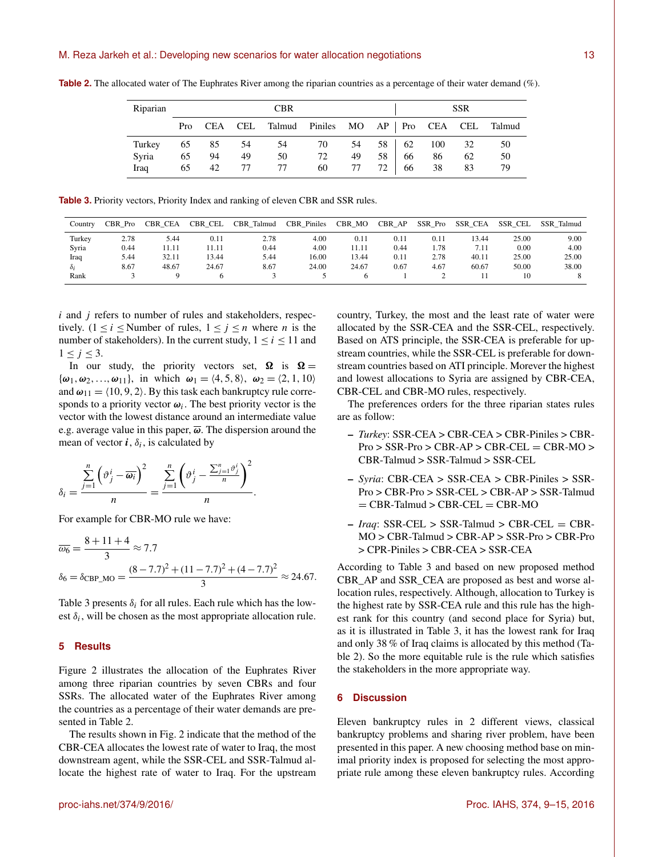| Riparian | <b>CBR</b> |    |      |                                                       |    | <b>SSR</b> |      |       |        |    |    |
|----------|------------|----|------|-------------------------------------------------------|----|------------|------|-------|--------|----|----|
|          |            |    |      | Pro CEA CEL Talmud Piniles MO AP   Pro CEA CEL Talmud |    |            |      |       |        |    |    |
| Turkey   | 65         | 85 | - 54 | 54                                                    | 70 | 54         |      | 58 62 | 100 32 |    | 50 |
| Syria    | 65         | 94 | 49   | 50                                                    | 72 | 49         | 58   | 66    | 86     | 62 | 50 |
| Iraq     | 65         | 42 | 77   | 77                                                    | 60 | 77         | 72 l | 66    | 38     | 83 |    |

**Table 2.** The allocated water of The Euphrates River among the riparian countries as a percentage of their water demand (%).

**Table 3.** Priority vectors, Priority Index and ranking of eleven CBR and SSR rules.

| Country | CBR Pro | <b>CBR CEA</b> | CBR CEL | Talmud<br>CBR | <b>CBR</b> Piniles | <b>CBR</b><br>МO | $\rm{CBR}$<br>AP | SSR<br>Pro | <b>SSR CEA</b> | <b>SSR CEL</b> | SSR Talmud |
|---------|---------|----------------|---------|---------------|--------------------|------------------|------------------|------------|----------------|----------------|------------|
| Turkey  | 2.78    | 5.44           | 0.11    | 2.78          | 4.00               | 0.11             | 0.11             | 0.11       | 13.44          | 25.00          | 9.00       |
| Syria   | 0.44    | 11.11          | 11.11   | 0.44          | 4.00               | 11.11            | 0.44             | 1.78       | 7.11           | 0.00           | 4.00       |
| Iraq    | 5.44    | 32.11          | 13.44   | 5.44          | 16.00              | 13.44            | 0.11             | 2.78       | 40.11          | 25.00          | 25.00      |
| òι      | 8.67    | 48.67          | 24.67   | 8.67          | 24.00              | 24.67            | 0.67             | 4.67       | 60.67          | 50.00          | 38.00      |
| Rank    |         |                |         |               |                    |                  |                  | ∼          |                | 10             | $\Delta$   |

 $i$  and  $j$  refers to number of rules and stakeholders, respectively. (1 <  $i$  < Number of rules,  $1 \le j \le n$  where *n* is the number of stakeholders). In the current study,  $1 \le i \le 11$  and  $1 \leq j \leq 3$ .

In our study, the priority vectors set,  $\Omega$  is  $\Omega =$  ${\omega_1, \omega_2, ..., \omega_{11}}$ , in which  $\omega_1 = \langle 4, 5, 8 \rangle$ ,  $\omega_2 = \langle 2, 1, 10 \rangle$ and  $\omega_{11} = \langle 10, 9, 2 \rangle$ . By this task each bankruptcy rule corresponds to a priority vector  $\omega_i$ . The best priority vector is the vector with the lowest distance around an intermediate value e.g. average value in this paper,  $\overline{\omega}$ . The dispersion around the mean of vector  $\boldsymbol{i}$ ,  $\delta_i$ , is calculated by

$$
\delta_i = \frac{\sum\limits_{j=1}^n \left(\vartheta_j^i - \overline{\omega_i}\right)^2}{n} = \frac{\sum\limits_{j=1}^n \left(\vartheta_j^i - \frac{\sum_{j=1}^n \vartheta_j^i}{n}\right)^2}{n}.
$$

For example for CBR-MO rule we have:

$$
\overline{\omega_6} = \frac{8 + 11 + 4}{3} \approx 7.7
$$
  

$$
\delta_6 = \delta_{\text{CBP\_MO}} = \frac{(8 - 7.7)^2 + (11 - 7.7)^2 + (4 - 7.7)^2}{3} \approx 24.67.
$$

Table 3 presents  $\delta_i$  for all rules. Each rule which has the lowest  $\delta_i$ , will be chosen as the most appropriate allocation rule.

## **5 Results**

Figure 2 illustrates the allocation of the Euphrates River among three riparian countries by seven CBRs and four SSRs. The allocated water of the Euphrates River among the countries as a percentage of their water demands are presented in Table 2.

The results shown in Fig. 2 indicate that the method of the CBR-CEA allocates the lowest rate of water to Iraq, the most downstream agent, while the SSR-CEL and SSR-Talmud allocate the highest rate of water to Iraq. For the upstream country, Turkey, the most and the least rate of water were allocated by the SSR-CEA and the SSR-CEL, respectively. Based on ATS principle, the SSR-CEA is preferable for upstream countries, while the SSR-CEL is preferable for downstream countries based on ATI principle. Morever the highest and lowest allocations to Syria are assigned by CBR-CEA, CBR-CEL and CBR-MO rules, respectively.

The preferences orders for the three riparian states rules are as follow:

- *Turkey*: SSR-CEA > CBR-CEA > CBR-Piniles > CBR- $Pro > SSR-Pro > CBR-AP > CBR-CEL = CBR-MO >$ CBR-Talmud > SSR-Talmud > SSR-CEL
- *Syria*: CBR-CEA > SSR-CEA > CBR-Piniles > SSR-Pro > CBR-Pro > SSR-CEL > CBR-AP > SSR-Talmud  $=$  CBR-Talmud  $>$  CBR-CEL  $=$  CBR-MO
- *Iraq*: SSR-CEL > SSR-Talmud > CBR-CEL = CBR-MO > CBR-Talmud > CBR-AP > SSR-Pro > CBR-Pro > CPR-Piniles > CBR-CEA > SSR-CEA

According to Table 3 and based on new proposed method CBR\_AP and SSR\_CEA are proposed as best and worse allocation rules, respectively. Although, allocation to Turkey is the highest rate by SSR-CEA rule and this rule has the highest rank for this country (and second place for Syria) but, as it is illustrated in Table 3, it has the lowest rank for Iraq and only 38 % of Iraq claims is allocated by this method (Table 2). So the more equitable rule is the rule which satisfies the stakeholders in the more appropriate way.

## **6 Discussion**

Eleven bankruptcy rules in 2 different views, classical bankruptcy problems and sharing river problem, have been presented in this paper. A new choosing method base on minimal priority index is proposed for selecting the most appropriate rule among these eleven bankruptcy rules. According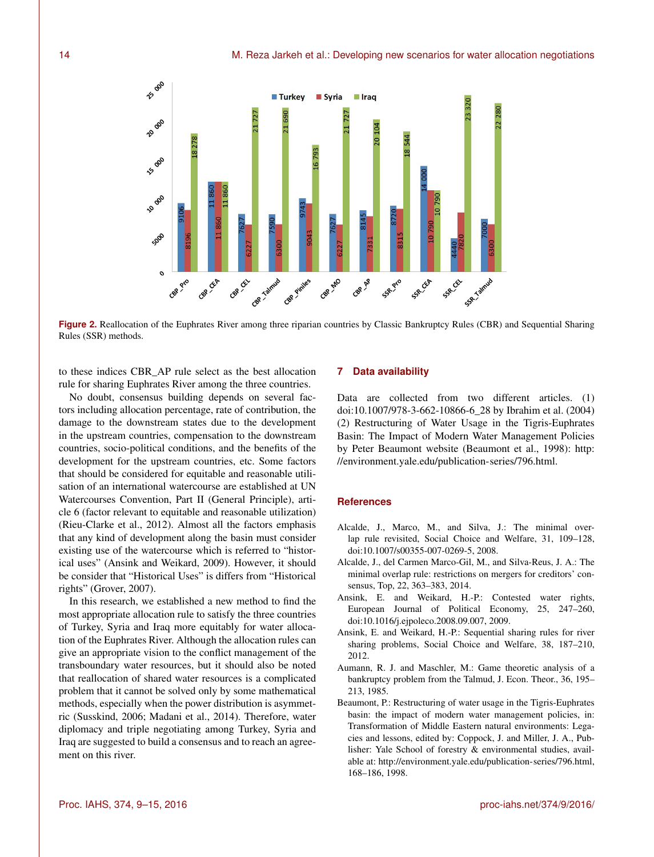

**Figure 2.** Reallocation of the Euphrates River among three riparian countries by Classic Bankruptcy Rules (CBR) and Sequential Sharing Rules (SSR) methods.

to these indices CBR\_AP rule select as the best allocation rule for sharing Euphrates River among the three countries.

No doubt, consensus building depends on several factors including allocation percentage, rate of contribution, the damage to the downstream states due to the development in the upstream countries, compensation to the downstream countries, socio-political conditions, and the benefits of the development for the upstream countries, etc. Some factors that should be considered for equitable and reasonable utilisation of an international watercourse are established at UN Watercourses Convention, Part II (General Principle), article 6 (factor relevant to equitable and reasonable utilization) (Rieu-Clarke et al., 2012). Almost all the factors emphasis that any kind of development along the basin must consider existing use of the watercourse which is referred to "historical uses" (Ansink and Weikard, 2009). However, it should be consider that "Historical Uses" is differs from "Historical rights" (Grover, 2007).

In this research, we established a new method to find the most appropriate allocation rule to satisfy the three countries of Turkey, Syria and Iraq more equitably for water allocation of the Euphrates River. Although the allocation rules can give an appropriate vision to the conflict management of the transboundary water resources, but it should also be noted that reallocation of shared water resources is a complicated problem that it cannot be solved only by some mathematical methods, especially when the power distribution is asymmetric (Susskind, 2006; Madani et al., 2014). Therefore, water diplomacy and triple negotiating among Turkey, Syria and Iraq are suggested to build a consensus and to reach an agreement on this river.

## **7 Data availability**

Data are collected from two different articles. (1) doi[:10.1007/978-3-662-10866-6\\_28](http://dx.doi.org/10.1007/978-3-662-10866-6_28) by Ibrahim et al. (2004) (2) Restructuring of Water Usage in the Tigris-Euphrates Basin: The Impact of Modern Water Management Policies by Peter Beaumont website (Beaumont et al., 1998): [http:](http://environment.yale.edu/publication-series/796.html) [//environment.yale.edu/publication-series/796.html.](http://environment.yale.edu/publication-series/796.html)

# **References**

- Alcalde, J., Marco, M., and Silva, J.: The minimal overlap rule revisited, Social Choice and Welfare, 31, 109–128, doi[:10.1007/s00355-007-0269-5,](http://dx.doi.org/10.1007/s00355-007-0269-5) 2008.
- Alcalde, J., del Carmen Marco-Gil, M., and Silva-Reus, J. A.: The minimal overlap rule: restrictions on mergers for creditors' consensus, Top, 22, 363–383, 2014.
- Ansink, E. and Weikard, H.-P.: Contested water rights, European Journal of Political Economy, 25, 247–260, doi[:10.1016/j.ejpoleco.2008.09.007,](http://dx.doi.org/10.1016/j.ejpoleco.2008.09.007) 2009.
- Ansink, E. and Weikard, H.-P.: Sequential sharing rules for river sharing problems, Social Choice and Welfare, 38, 187–210, 2012.
- Aumann, R. J. and Maschler, M.: Game theoretic analysis of a bankruptcy problem from the Talmud, J. Econ. Theor., 36, 195– 213, 1985.
- Beaumont, P.: Restructuring of water usage in the Tigris-Euphrates basin: the impact of modern water management policies, in: Transformation of Middle Eastern natural environments: Legacies and lessons, edited by: Coppock, J. and Miller, J. A., Publisher: Yale School of forestry & environmental studies, available at: [http://environment.yale.edu/publication-series/796.html,](http://environment.yale.edu/publication-series/796.html) 168–186, 1998.